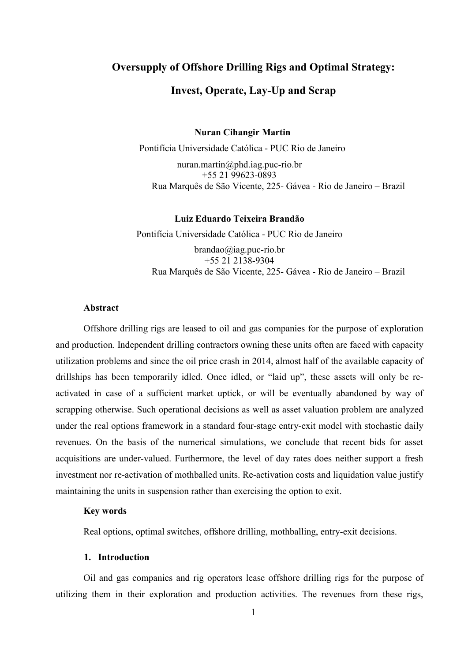# Oversupply of Offshore Drilling Rigs and Optimal Strategy:

# Invest, Operate, Lay-Up and Scrap

Nuran Cihangir Martin

Pontifícia Universidade Católica - PUC Rio de Janeiro

nuran.martin@phd.iag.puc-rio.br +55 21 99623-0893 Rua Marquês de São Vicente, 225- Gávea - Rio de Janeiro – Brazil

# Luiz Eduardo Teixeira Brandão

Pontifícia Universidade Católica - PUC Rio de Janeiro brandao@iag.puc-rio.br +55 21 2138-9304 Rua Marquês de São Vicente, 225- Gávea - Rio de Janeiro – Brazil

# Abstract

Offshore drilling rigs are leased to oil and gas companies for the purpose of exploration and production. Independent drilling contractors owning these units often are faced with capacity utilization problems and since the oil price crash in 2014, almost half of the available capacity of drillships has been temporarily idled. Once idled, or "laid up", these assets will only be reactivated in case of a sufficient market uptick, or will be eventually abandoned by way of scrapping otherwise. Such operational decisions as well as asset valuation problem are analyzed under the real options framework in a standard four-stage entry-exit model with stochastic daily revenues. On the basis of the numerical simulations, we conclude that recent bids for asset acquisitions are under-valued. Furthermore, the level of day rates does neither support a fresh investment nor re-activation of mothballed units. Re-activation costs and liquidation value justify maintaining the units in suspension rather than exercising the option to exit.

#### Key words

Real options, optimal switches, offshore drilling, mothballing, entry-exit decisions.

#### 1. Introduction

Oil and gas companies and rig operators lease offshore drilling rigs for the purpose of utilizing them in their exploration and production activities. The revenues from these rigs,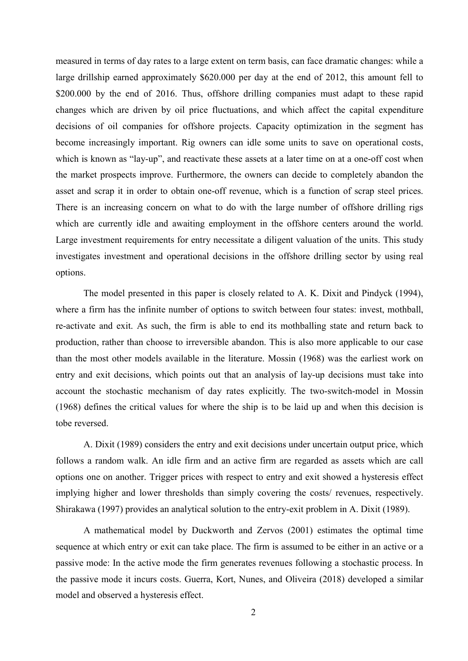measured in terms of day rates to a large extent on term basis, can face dramatic changes: while a large drillship earned approximately \$620.000 per day at the end of 2012, this amount fell to \$200.000 by the end of 2016. Thus, offshore drilling companies must adapt to these rapid changes which are driven by oil price fluctuations, and which affect the capital expenditure decisions of oil companies for offshore projects. Capacity optimization in the segment has become increasingly important. Rig owners can idle some units to save on operational costs, which is known as "lay-up", and reactivate these assets at a later time on at a one-off cost when the market prospects improve. Furthermore, the owners can decide to completely abandon the asset and scrap it in order to obtain one-off revenue, which is a function of scrap steel prices. There is an increasing concern on what to do with the large number of offshore drilling rigs which are currently idle and awaiting employment in the offshore centers around the world. Large investment requirements for entry necessitate a diligent valuation of the units. This study investigates investment and operational decisions in the offshore drilling sector by using real options.

The model presented in this paper is closely related to A. K. Dixit and Pindyck (1994), where a firm has the infinite number of options to switch between four states: invest, mothball, re-activate and exit. As such, the firm is able to end its mothballing state and return back to production, rather than choose to irreversible abandon. This is also more applicable to our case than the most other models available in the literature. Mossin (1968) was the earliest work on entry and exit decisions, which points out that an analysis of lay-up decisions must take into account the stochastic mechanism of day rates explicitly. The two-switch-model in Mossin (1968) defines the critical values for where the ship is to be laid up and when this decision is tobe reversed.

A. Dixit (1989) considers the entry and exit decisions under uncertain output price, which follows a random walk. An idle firm and an active firm are regarded as assets which are call options one on another. Trigger prices with respect to entry and exit showed a hysteresis effect implying higher and lower thresholds than simply covering the costs/ revenues, respectively. Shirakawa (1997) provides an analytical solution to the entry-exit problem in A. Dixit (1989).

A mathematical model by Duckworth and Zervos (2001) estimates the optimal time sequence at which entry or exit can take place. The firm is assumed to be either in an active or a passive mode: In the active mode the firm generates revenues following a stochastic process. In the passive mode it incurs costs. Guerra, Kort, Nunes, and Oliveira (2018) developed a similar model and observed a hysteresis effect.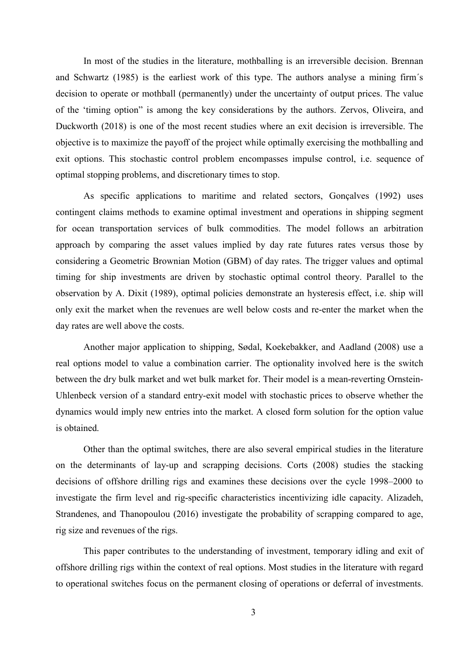In most of the studies in the literature, mothballing is an irreversible decision. Brennan and Schwartz (1985) is the earliest work of this type. The authors analyse a mining firm´s decision to operate or mothball (permanently) under the uncertainty of output prices. The value of the 'timing option" is among the key considerations by the authors. Zervos, Oliveira, and Duckworth (2018) is one of the most recent studies where an exit decision is irreversible. The objective is to maximize the payoff of the project while optimally exercising the mothballing and exit options. This stochastic control problem encompasses impulse control, i.e. sequence of optimal stopping problems, and discretionary times to stop.

As specific applications to maritime and related sectors, Gonçalves (1992) uses contingent claims methods to examine optimal investment and operations in shipping segment for ocean transportation services of bulk commodities. The model follows an arbitration approach by comparing the asset values implied by day rate futures rates versus those by considering a Geometric Brownian Motion (GBM) of day rates. The trigger values and optimal timing for ship investments are driven by stochastic optimal control theory. Parallel to the observation by A. Dixit (1989), optimal policies demonstrate an hysteresis effect, i.e. ship will only exit the market when the revenues are well below costs and re-enter the market when the day rates are well above the costs.

Another major application to shipping, Sødal, Koekebakker, and Aadland (2008) use a real options model to value a combination carrier. The optionality involved here is the switch between the dry bulk market and wet bulk market for. Their model is a mean-reverting Ornstein-Uhlenbeck version of a standard entry-exit model with stochastic prices to observe whether the dynamics would imply new entries into the market. A closed form solution for the option value is obtained.

Other than the optimal switches, there are also several empirical studies in the literature on the determinants of lay-up and scrapping decisions. Corts (2008) studies the stacking decisions of offshore drilling rigs and examines these decisions over the cycle 1998–2000 to investigate the firm level and rig-specific characteristics incentivizing idle capacity. Alizadeh, Strandenes, and Thanopoulou (2016) investigate the probability of scrapping compared to age, rig size and revenues of the rigs.

This paper contributes to the understanding of investment, temporary idling and exit of offshore drilling rigs within the context of real options. Most studies in the literature with regard to operational switches focus on the permanent closing of operations or deferral of investments.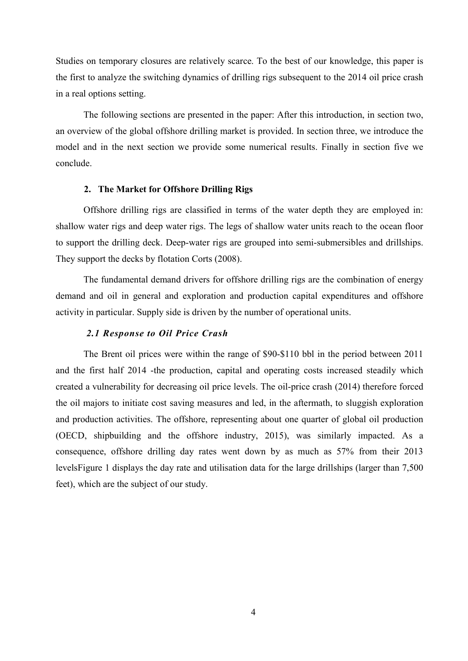Studies on temporary closures are relatively scarce. To the best of our knowledge, this paper is the first to analyze the switching dynamics of drilling rigs subsequent to the 2014 oil price crash in a real options setting.

The following sections are presented in the paper: After this introduction, in section two, an overview of the global offshore drilling market is provided. In section three, we introduce the model and in the next section we provide some numerical results. Finally in section five we conclude.

#### 2. The Market for Offshore Drilling Rigs

Offshore drilling rigs are classified in terms of the water depth they are employed in: shallow water rigs and deep water rigs. The legs of shallow water units reach to the ocean floor to support the drilling deck. Deep-water rigs are grouped into semi-submersibles and drillships. They support the decks by flotation Corts (2008).

The fundamental demand drivers for offshore drilling rigs are the combination of energy demand and oil in general and exploration and production capital expenditures and offshore activity in particular. Supply side is driven by the number of operational units.

# 2.1 Response to Oil Price Crash

The Brent oil prices were within the range of \$90-\$110 bbl in the period between 2011 and the first half 2014 -the production, capital and operating costs increased steadily which created a vulnerability for decreasing oil price levels. The oil-price crash (2014) therefore forced the oil majors to initiate cost saving measures and led, in the aftermath, to sluggish exploration and production activities. The offshore, representing about one quarter of global oil production (OECD, shipbuilding and the offshore industry, 2015), was similarly impacted. As a consequence, offshore drilling day rates went down by as much as 57% from their 2013 levelsFigure 1 displays the day rate and utilisation data for the large drillships (larger than 7,500 feet), which are the subject of our study.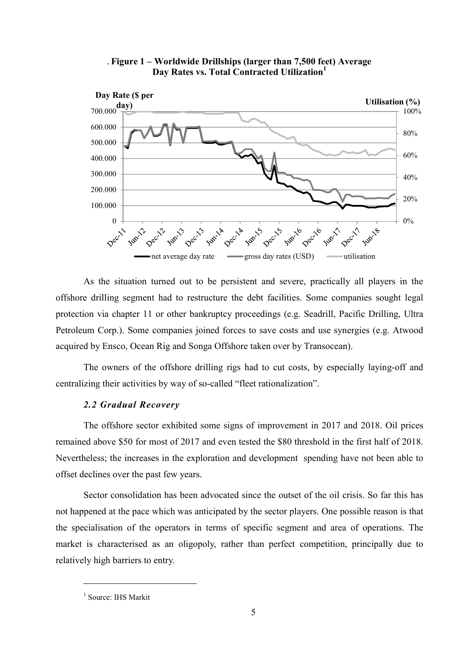



As the situation turned out to be persistent and severe, practically all players in the offshore drilling segment had to restructure the debt facilities. Some companies sought legal protection via chapter 11 or other bankruptcy proceedings (e.g. Seadrill, Pacific Drilling, Ultra Petroleum Corp.). Some companies joined forces to save costs and use synergies (e.g. Atwood acquired by Ensco, Ocean Rig and Songa Offshore taken over by Transocean).

The owners of the offshore drilling rigs had to cut costs, by especially laying-off and centralizing their activities by way of so-called "fleet rationalization".

# 2.2 Gradual Recovery

The offshore sector exhibited some signs of improvement in 2017 and 2018. Oil prices remained above \$50 for most of 2017 and even tested the \$80 threshold in the first half of 2018. Nevertheless; the increases in the exploration and development spending have not been able to offset declines over the past few years.

Sector consolidation has been advocated since the outset of the oil crisis. So far this has not happened at the pace which was anticipated by the sector players. One possible reason is that the specialisation of the operators in terms of specific segment and area of operations. The market is characterised as an oligopoly, rather than perfect competition, principally due to relatively high barriers to entry.

 $\overline{a}$ 

<sup>&</sup>lt;sup>1</sup> Source: IHS Markit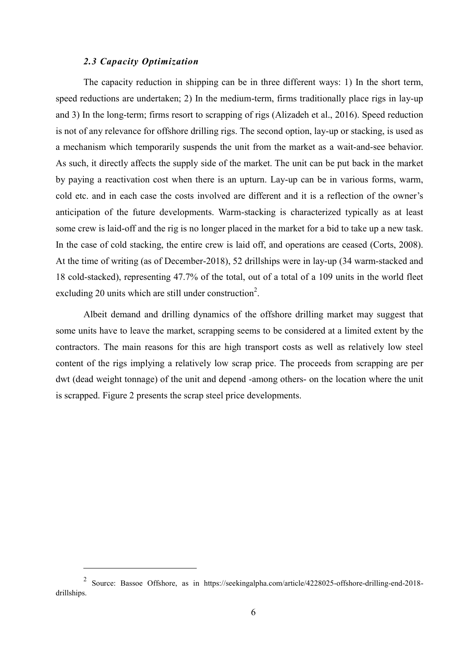## 2.3 Capacity Optimization

 $\overline{a}$ 

The capacity reduction in shipping can be in three different ways: 1) In the short term, speed reductions are undertaken; 2) In the medium-term, firms traditionally place rigs in lay-up and 3) In the long-term; firms resort to scrapping of rigs (Alizadeh et al., 2016). Speed reduction is not of any relevance for offshore drilling rigs. The second option, lay-up or stacking, is used as a mechanism which temporarily suspends the unit from the market as a wait-and-see behavior. As such, it directly affects the supply side of the market. The unit can be put back in the market by paying a reactivation cost when there is an upturn. Lay-up can be in various forms, warm, cold etc. and in each case the costs involved are different and it is a reflection of the owner's anticipation of the future developments. Warm-stacking is characterized typically as at least some crew is laid-off and the rig is no longer placed in the market for a bid to take up a new task. In the case of cold stacking, the entire crew is laid off, and operations are ceased (Corts, 2008). At the time of writing (as of December-2018), 52 drillships were in lay-up (34 warm-stacked and 18 cold-stacked), representing 47.7% of the total, out of a total of a 109 units in the world fleet excluding 20 units which are still under construction<sup>2</sup>.

Albeit demand and drilling dynamics of the offshore drilling market may suggest that some units have to leave the market, scrapping seems to be considered at a limited extent by the contractors. The main reasons for this are high transport costs as well as relatively low steel content of the rigs implying a relatively low scrap price. The proceeds from scrapping are per dwt (dead weight tonnage) of the unit and depend -among others- on the location where the unit is scrapped. Figure 2 presents the scrap steel price developments.

<sup>2</sup> Source: Bassoe Offshore, as in https://seekingalpha.com/article/4228025-offshore-drilling-end-2018 drillships.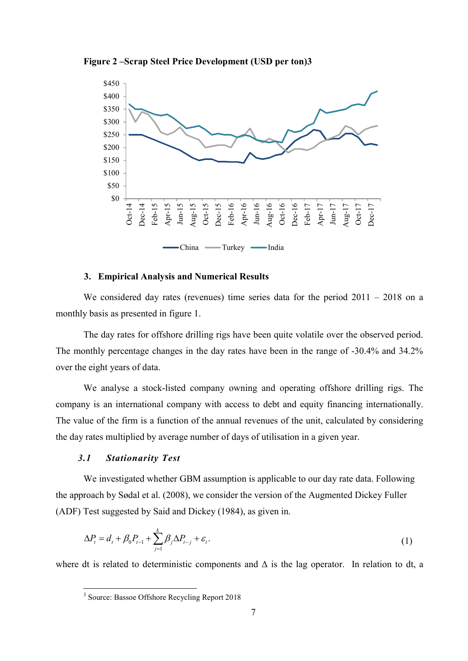Figure 2 –Scrap Steel Price Development (USD per ton)3



### 3. Empirical Analysis and Numerical Results

We considered day rates (revenues) time series data for the period  $2011 - 2018$  on a monthly basis as presented in figure 1.

The day rates for offshore drilling rigs have been quite volatile over the observed period. The monthly percentage changes in the day rates have been in the range of -30.4% and 34.2% over the eight years of data.

We analyse a stock-listed company owning and operating offshore drilling rigs. The company is an international company with access to debt and equity financing internationally. The value of the firm is a function of the annual revenues of the unit, calculated by considering the day rates multiplied by average number of days of utilisation in a given year.

## 3.1 Stationarity Test

 $\overline{a}$ 

We investigated whether GBM assumption is applicable to our day rate data. Following the approach by Sødal et al. (2008), we consider the version of the Augmented Dickey Fuller (ADF) Test suggested by Said and Dickey (1984), as given in.

$$
\Delta P_t = d_t + \beta_0 P_{t-1} + \sum_{j=1}^k \beta_j \Delta P_{t-j} + \varepsilon_t.
$$
\n(1)

where dt is related to deterministic components and  $\Delta$  is the lag operator. In relation to dt, a

<sup>&</sup>lt;sup>3</sup> Source: Bassoe Offshore Recycling Report 2018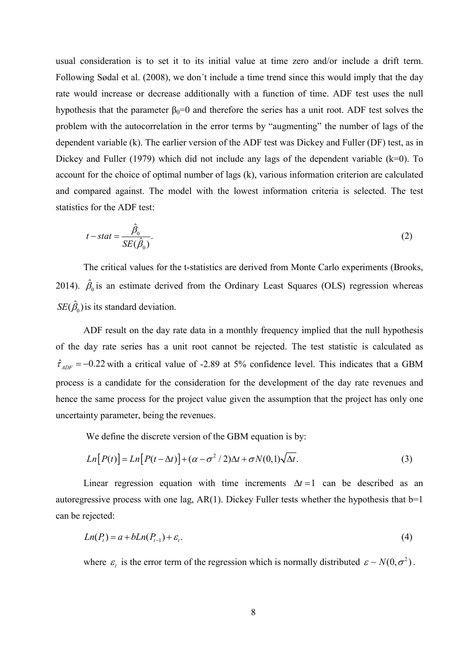usual consideration is to set it to its initial value at time zero and/or include a drift term. Following Sødal et al. (2008), we don´t include a time trend since this would imply that the day rate would increase or decrease additionally with a function of time. ADF test uses the null hypothesis that the parameter  $\beta_0=0$  and therefore the series has a unit root. ADF test solves the problem with the autocorrelation in the error terms by "augmenting" the number of lags of the dependent variable (k). The earlier version of the ADF test was Dickey and Fuller (DF) test, as in Dickey and Fuller (1979) which did not include any lags of the dependent variable  $(k=0)$ . To account for the choice of optimal number of lags (k), various information criterion are calculated and compared against. The model with the lowest information criteria is selected. The test statistics for the ADF test:

$$
t - stat = \frac{\hat{\beta}_0}{SE(\hat{\beta}_0)}.
$$
\n(2)

The critical values for the t-statistics are derived from Monte Carlo experiments (Brooks, 2014).  $\hat{\beta}_0$  is an estimate derived from the Ordinary Least Squares (OLS) regression whereas  $SE(\hat{\beta}_0)$  is its standard deviation.

ADF result on the day rate data in a monthly frequency implied that the null hypothesis of the day rate series has a unit root cannot be rejected. The test statistic is calculated as  $\hat{\tau}_{ADF}$  = -0.22 with a critical value of -2.89 at 5% confidence level. This indicates that a GBM process is a candidate for the consideration for the development of the day rate revenues and hence the same process for the project value given the assumption that the project has only one uncertainty parameter, being the revenues.

We define the discrete version of the GBM equation is by:

$$
Ln[P(t)] = Ln[P(t - \Delta t)] + (\alpha - \sigma^2 / 2)\Delta t + \sigma N(0, 1)\sqrt{\Delta t}.
$$
\n(3)

Linear regression equation with time increments  $\Delta t = 1$  can be described as an autoregressive process with one lag,  $AR(1)$ . Dickey Fuller tests whether the hypothesis that  $b=1$ can be rejected:

$$
Ln(Pt) = a + bLn(Pt-1) + \varepsilont.
$$
\n(4)

where  $\varepsilon_t$  is the error term of the regression which is normally distributed  $\varepsilon \sim N(0, \sigma^2)$ .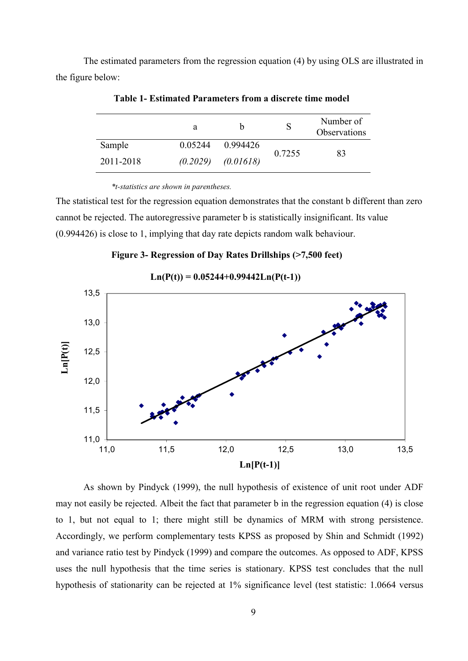The estimated parameters from the regression equation (4) by using OLS are illustrated in the figure below:

|           | a        | h         |        | Number of<br>Observations |  |
|-----------|----------|-----------|--------|---------------------------|--|
| Sample    | 0.05244  | 0.994426  | 0.7255 | 83                        |  |
| 2011-2018 | (0.2029) | (0.01618) |        |                           |  |

Table 1- Estimated Parameters from a discrete time model

\*t-statistics are shown in parentheses.

The statistical test for the regression equation demonstrates that the constant b different than zero cannot be rejected. The autoregressive parameter b is statistically insignificant. Its value (0.994426) is close to 1, implying that day rate depicts random walk behaviour.

Figure 3- Regression of Day Rates Drillships (>7,500 feet)

 $Ln(P(t)) = 0.05244+0.99442Ln(P(t-1))$ 



As shown by Pindyck (1999), the null hypothesis of existence of unit root under ADF may not easily be rejected. Albeit the fact that parameter b in the regression equation (4) is close to 1, but not equal to 1; there might still be dynamics of MRM with strong persistence. Accordingly, we perform complementary tests KPSS as proposed by Shin and Schmidt (1992) and variance ratio test by Pindyck (1999) and compare the outcomes. As opposed to ADF, KPSS uses the null hypothesis that the time series is stationary. KPSS test concludes that the null hypothesis of stationarity can be rejected at 1% significance level (test statistic: 1.0664 versus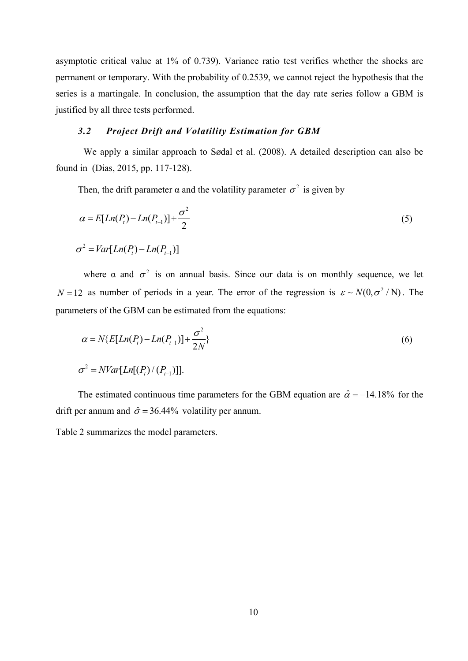asymptotic critical value at 1% of 0.739). Variance ratio test verifies whether the shocks are permanent or temporary. With the probability of 0.2539, we cannot reject the hypothesis that the series is a martingale. In conclusion, the assumption that the day rate series follow a GBM is justified by all three tests performed.

### 3.2 Project Drift and Volatility Estimation for GBM

We apply a similar approach to Sødal et al. (2008). A detailed description can also be found in (Dias, 2015, pp. 117-128).

Then, the drift parameter  $\alpha$  and the volatility parameter  $\sigma^2$  is given by

$$
\alpha = E[Ln(Pt) - Ln(Pt-1)] + \frac{\sigma^2}{2}
$$
  
\n
$$
\sigma^2 = Var[Ln(Pt) - Ln(Pt-1)]
$$
\n(5)

where  $\alpha$  and  $\sigma^2$  is on annual basis. Since our data is on monthly sequence, we let  $N = 12$  as number of periods in a year. The error of the regression is  $\varepsilon \sim N(0, \sigma^2/N)$ . The parameters of the GBM can be estimated from the equations:

$$
\alpha = N\{E[Ln(P_{i}) - Ln(P_{i-1})] + \frac{\sigma^{2}}{2N}\}\tag{6}
$$

$$
\sigma^2 = NVar[Ln[(P_t)/(P_{t-1})]].
$$

The estimated continuous time parameters for the GBM equation are  $\hat{\alpha} = -14.18\%$  for the drift per annum and  $\hat{\sigma} = 36.44\%$  volatility per annum.

Table 2 summarizes the model parameters.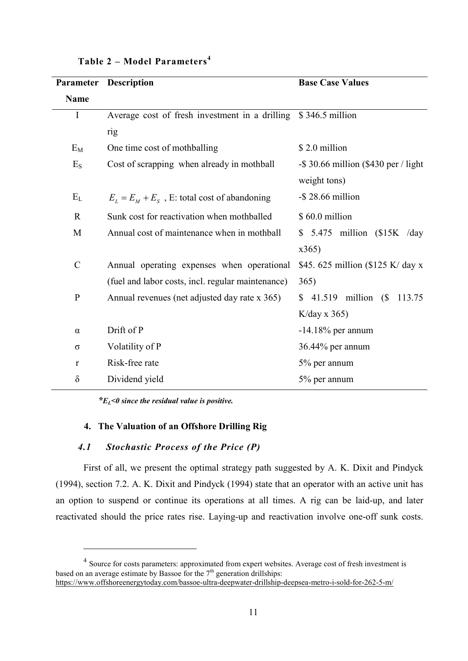| Parameter    | <b>Description</b>                                             | <b>Base Case Values</b>                 |  |  |  |
|--------------|----------------------------------------------------------------|-----------------------------------------|--|--|--|
| <b>Name</b>  |                                                                |                                         |  |  |  |
| $\mathbf I$  | Average cost of fresh investment in a drilling \$346.5 million |                                         |  |  |  |
|              | rig                                                            |                                         |  |  |  |
| $E_M$        | One time cost of mothballing                                   | \$2.0 million                           |  |  |  |
| $E_{S}$      | Cost of scrapping when already in mothball                     | $-$ \$ 30.66 million (\$430 per / light |  |  |  |
|              |                                                                | weight tons)                            |  |  |  |
| $E_{L}$      | $E_L = E_M + E_S$ , E: total cost of abandoning                | $-$ \$ 28.66 million                    |  |  |  |
| $\mathbb{R}$ | Sunk cost for reactivation when mothballed                     | \$60.0 million                          |  |  |  |
| M            | Annual cost of maintenance when in mothball                    | $$5.475$ million (\$15K /day            |  |  |  |
|              |                                                                | x365)                                   |  |  |  |
| $\mathbf C$  | Annual operating expenses when operational                     | \$45.625 million (\$125 K/day x)        |  |  |  |
|              | (fuel and labor costs, incl. regular maintenance)              | 365)                                    |  |  |  |
| ${\bf P}$    | Annual revenues (net adjusted day rate x 365)                  | $41.519$ million (\$<br>113.75<br>\$    |  |  |  |
|              |                                                                | $K/day \times 365$                      |  |  |  |
| $\alpha$     | Drift of P                                                     | $-14.18\%$ per annum                    |  |  |  |
| $\sigma$     | Volatility of P                                                | 36.44% per annum                        |  |  |  |
| r            | Risk-free rate                                                 | 5% per annum                            |  |  |  |
| $\delta$     | Dividend yield                                                 | 5% per annum                            |  |  |  |

Table  $2 - Model$  Parameters<sup>4</sup>

\* $E<sub>I</sub>$  <0 since the residual value is positive.

# 4. The Valuation of an Offshore Drilling Rig

# 4.1 Stochastic Process of the Price (P)

 $\overline{a}$ 

First of all, we present the optimal strategy path suggested by A. K. Dixit and Pindyck (1994), section 7.2. A. K. Dixit and Pindyck (1994) state that an operator with an active unit has an option to suspend or continue its operations at all times. A rig can be laid-up, and later reactivated should the price rates rise. Laying-up and reactivation involve one-off sunk costs.

 $4$  Source for costs parameters: approximated from expert websites. Average cost of fresh investment is based on an average estimate by Bassoe for the  $7<sup>th</sup>$  generation drillships: https://www.offshoreenergytoday.com/bassoe-ultra-deepwater-drillship-deepsea-metro-i-sold-for-262-5-m/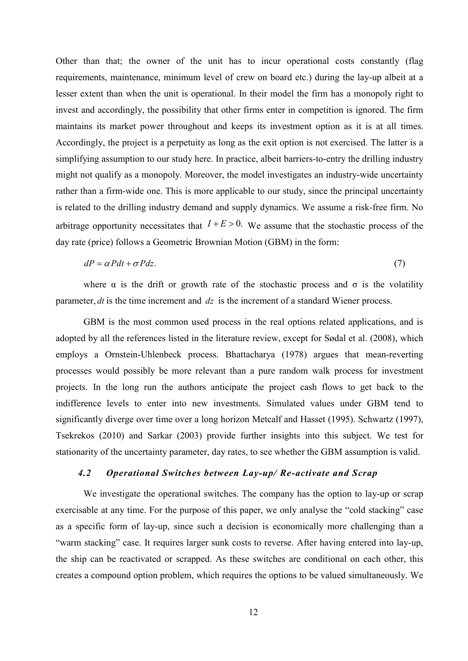Other than that; the owner of the unit has to incur operational costs constantly (flag requirements, maintenance, minimum level of crew on board etc.) during the lay-up albeit at a lesser extent than when the unit is operational. In their model the firm has a monopoly right to invest and accordingly, the possibility that other firms enter in competition is ignored. The firm maintains its market power throughout and keeps its investment option as it is at all times. Accordingly, the project is a perpetuity as long as the exit option is not exercised. The latter is a simplifying assumption to our study here. In practice, albeit barriers-to-entry the drilling industry might not qualify as a monopoly. Moreover, the model investigates an industry-wide uncertainty rather than a firm-wide one. This is more applicable to our study, since the principal uncertainty is related to the drilling industry demand and supply dynamics. We assume a risk-free firm. No arbitrage opportunity necessitates that  $I + E > 0$ . We assume that the stochastic process of the day rate (price) follows a Geometric Brownian Motion (GBM) in the form:

$$
dP = \alpha Pdt + \sigma Pdz. \tag{7}
$$

where  $\alpha$  is the drift or growth rate of the stochastic process and  $\sigma$  is the volatility parameter,  $dt$  is the time increment and  $dz$  is the increment of a standard Wiener process.

GBM is the most common used process in the real options related applications, and is adopted by all the references listed in the literature review, except for Sødal et al. (2008), which employs a Ornstein-Uhlenbeck process. Bhattacharya (1978) argues that mean-reverting processes would possibly be more relevant than a pure random walk process for investment projects. In the long run the authors anticipate the project cash flows to get back to the indifference levels to enter into new investments. Simulated values under GBM tend to significantly diverge over time over a long horizon Metcalf and Hasset (1995). Schwartz (1997), Tsekrekos (2010) and Sarkar (2003) provide further insights into this subject. We test for stationarity of the uncertainty parameter, day rates, to see whether the GBM assumption is valid.

### 4.2 Operational Switches between Lay-up/ Re-activate and Scrap

We investigate the operational switches. The company has the option to lay-up or scrap exercisable at any time. For the purpose of this paper, we only analyse the "cold stacking" case as a specific form of lay-up, since such a decision is economically more challenging than a "warm stacking" case. It requires larger sunk costs to reverse. After having entered into lay-up, the ship can be reactivated or scrapped. As these switches are conditional on each other, this creates a compound option problem, which requires the options to be valued simultaneously. We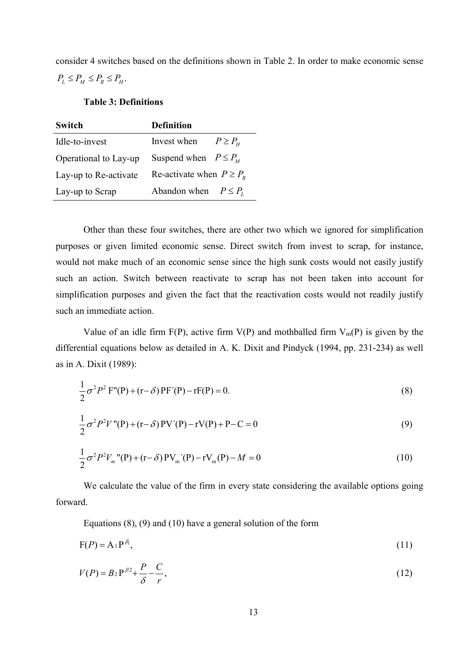consider 4 switches based on the definitions shown in Table 2. In order to make economic sense  $P_{L} \leq P_{M} \leq P_{R} \leq P_{H}.$ 

# Table 3: Definitions

| <b>Switch</b>         | <b>Definition</b>               |  |  |  |
|-----------------------|---------------------------------|--|--|--|
| Idle-to-invest        | Invest when<br>$P \geq P_{\mu}$ |  |  |  |
| Operational to Lay-up | Suspend when $P \leq P_{\mu}$   |  |  |  |
| Lay-up to Re-activate | Re-activate when $P \geq P_{R}$ |  |  |  |
| Lay-up to Scrap       | Abandon when $P \leq P_r$       |  |  |  |

Other than these four switches, there are other two which we ignored for simplification purposes or given limited economic sense. Direct switch from invest to scrap, for instance, would not make much of an economic sense since the high sunk costs would not easily justify such an action. Switch between reactivate to scrap has not been taken into account for simplification purposes and given the fact that the reactivation costs would not readily justify such an immediate action.

Value of an idle firm  $F(P)$ , active firm  $V(P)$  and mothballed firm  $V_m(P)$  is given by the differential equations below as detailed in A. K. Dixit and Pindyck (1994, pp. 231-234) as well as in A. Dixit (1989):

$$
\frac{1}{2}\sigma^2 P^2 \mathbf{F}''(\mathbf{P}) + (\mathbf{r} - \delta) \mathbf{P} \mathbf{F}'(\mathbf{P}) - \mathbf{r} \mathbf{F}(\mathbf{P}) = 0.
$$
 (8)

$$
\frac{1}{2}\sigma^2 P^2 V''(P) + (r - \delta) PV'(P) - rV(P) + P - C = 0
$$
\n(9)

$$
\frac{1}{2}\sigma^2 P^2 V_m^{\dagger}(\mathbf{P}) + (\mathbf{r} - \delta) \mathbf{P} V_m^{\dagger}(\mathbf{P}) - \mathbf{r} V_m(\mathbf{P}) - M = 0 \tag{10}
$$

We calculate the value of the firm in every state considering the available options going forward.

Equations (8), (9) and (10) have a general solution of the form

$$
F(P) = A_1 P^{\beta_1},\tag{11}
$$

$$
V(P) = B_2 P^{\beta 2} + \frac{P}{\delta} - \frac{C}{r},
$$
\n(12)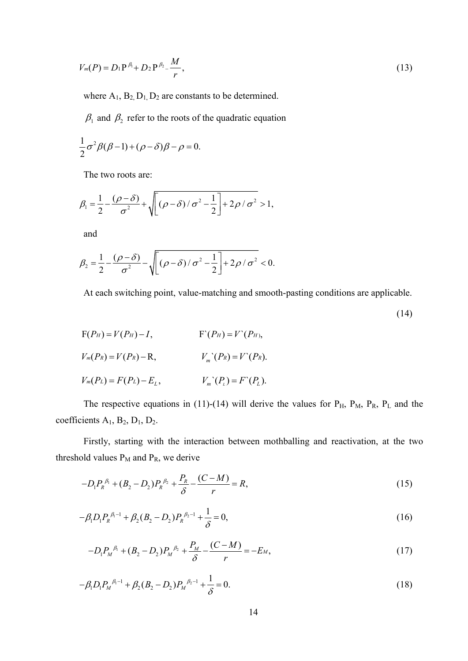$$
V_m(P) = D_1 P^{\beta_1} + D_2 P^{\beta_2} - \frac{M}{r},
$$
\n(13)

where  $A_1$ ,  $B_2$ ,  $D_1$ ,  $D_2$  are constants to be determined.

 $\beta_1$  and  $\beta_2$  refer to the roots of the quadratic equation

$$
\frac{1}{2}\sigma^2\beta(\beta-1)+(\rho-\delta)\beta-\rho=0.
$$

The two roots are:

$$
\beta_1 = \frac{1}{2} - \frac{(\rho - \delta)}{\sigma^2} + \sqrt{(\rho - \delta)/\sigma^2 - \frac{1}{2}} + 2\rho/\sigma^2 > 1,
$$

and

$$
\beta_2 = \frac{1}{2} - \frac{(\rho - \delta)}{\sigma^2} - \sqrt{(\rho - \delta)/\sigma^2 - \frac{1}{2}} + 2\rho/\sigma^2} < 0.
$$

At each switching point, value-matching and smooth-pasting conditions are applicable.

(14)

$$
F(P_H) = V(P_H) - I,
$$
  
\n
$$
V_m(P_R) = V(P_R) - R,
$$
  
\n
$$
V_m'(P_R) = V'(P_R).
$$
  
\n
$$
V_m'(P_L) = F(P_L) - E_L,
$$
  
\n
$$
V_m'(P_L) = F'(P_L).
$$

The respective equations in (11)-(14) will derive the values for  $P_H$ ,  $P_M$ ,  $P_R$ ,  $P_L$  and the coefficients  $A_1$ ,  $B_2$ ,  $D_1$ ,  $D_2$ .

Firstly, starting with the interaction between mothballing and reactivation, at the two threshold values  $P_M$  and  $P_R$ , we derive

$$
-D_1 P_R^{\ \beta_1} + (B_2 - D_2) P_R^{\ \beta_2} + \frac{P_R}{\delta} - \frac{(C - M)}{r} = R,\tag{15}
$$

$$
-\beta_1 D_1 P_R^{\beta_1 - 1} + \beta_2 (B_2 - D_2) P_R^{\beta_2 - 1} + \frac{1}{\delta} = 0,
$$
\n(16)

$$
-D_1 P_M^{\ \beta_1} + (B_2 - D_2) P_M^{\ \beta_2} + \frac{P_M}{\delta} - \frac{(C - M)}{r} = -E_M,
$$
\n(17)

$$
-\beta_1 D_1 P_M^{\beta-1} + \beta_2 (B_2 - D_2) P_M^{\beta-1} + \frac{1}{\delta} = 0.
$$
\n(18)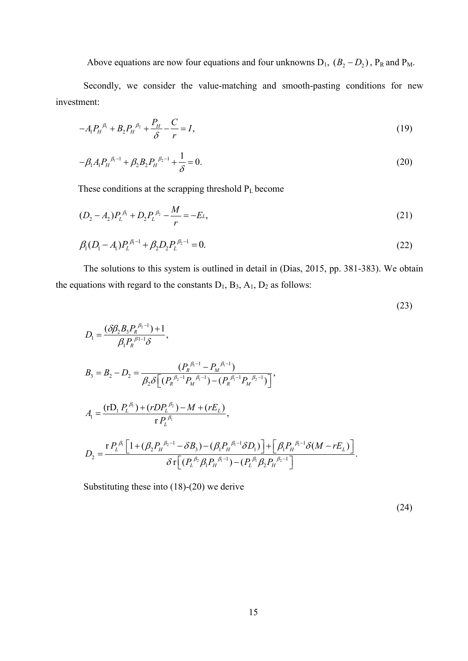Above equations are now four equations and four unknowns  $D_1$ ,  $(B_2 - D_2)$ ,  $P_R$  and  $P_M$ .

Secondly, we consider the value-matching and smooth-pasting conditions for new investment:

$$
-A_1 P_H^{\ \beta_1} + B_2 P_H^{\ \beta_2} + \frac{P_H}{\delta} - \frac{C}{r} = I,
$$
\n(19)

$$
-\beta_1 A_1 P_{\mu}^{\ \beta_1 - 1} + \beta_2 B_2 P_{\mu}^{\ \beta_2 - 1} + \frac{1}{\delta} = 0.
$$
\n(20)

These conditions at the scrapping threshold P<sub>L</sub> become

$$
(D_2 - A_2)P_L^{\beta_1} + D_2P_L^{\beta_2} - \frac{M}{r} = -EL,\tag{21}
$$

$$
\beta_1 (D_1 - A_1) P_L^{\beta_1 - 1} + \beta_2 D_2 P_L^{\beta_2 - 1} = 0.
$$
\n(22)

The solutions to this system is outlined in detail in (Dias, 2015, pp. 381-383). We obtain the equations with regard to the constants  $D_1$ ,  $B_3$ ,  $A_1$ ,  $D_2$  as follows:

$$
(23)
$$

$$
D_1 = \frac{(\delta \beta_2 B_3 P_R^{\beta_2 - 1}) + 1}{\beta_1 P_R^{\beta_1 - 1} \delta},
$$
  
\n
$$
B_3 = B_2 - D_2 = \frac{(P_R^{\beta_1 - 1} - P_M^{\beta_1 - 1})}{\beta_2 \delta \left[ (P_R^{\beta_2 - 1} P_M^{\beta_1 - 1}) - (P_R^{\beta_1 - 1} P_M^{\beta_2 - 1}) \right]},
$$
  
\n
$$
A_1 = \frac{(\text{r}D_1 P_L^{\beta_1}) + (r D P_L^{\beta_2}) - M + (r E_L)}{\text{r} P_L^{\beta_1}},
$$
  
\n
$$
D_2 = \frac{\text{r} P_L^{\beta_1} \left[ 1 + (\beta_2 P_H^{\beta_2 - 1} - \delta B_3) - (\beta_1 P_H^{\beta_1 - 1} \delta D_1) \right] + \left[ \beta_1 P_H^{\beta_1 - 1} \delta (M - r E_L) \right]}{\delta \text{r} \left[ (P_L^{\beta_2} \beta_1 P_H^{\beta_1 - 1}) - (P_L^{\beta_1} \beta_2 P_H^{\beta_2 - 1}) \right]}.
$$

Substituting these into (18)-(20) we derive

 $(24)$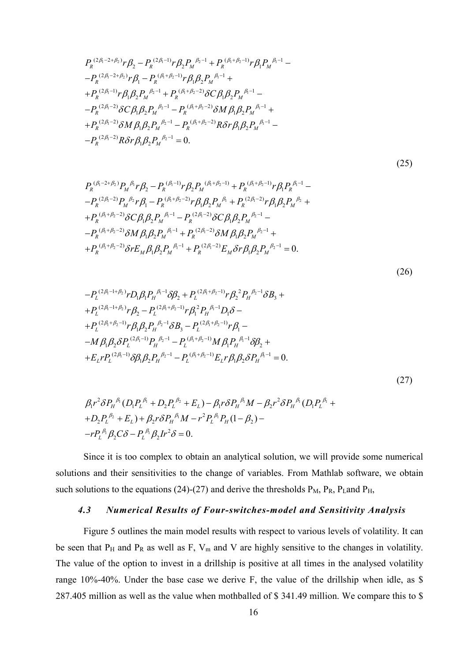$$
P_R^{(2\beta_1-2+\beta_2)}r\beta_2 - P_R^{(2\beta_1-1)}r\beta_2 P_M^{\beta_2-1} + P_R^{(\beta_1+\beta_2-1)}r\beta_1 P_M^{\beta_1-1} -P_R^{(2\beta_1-2+\beta_2)}r\beta_1 - P_R^{(\beta_1+\beta_2-1)}r\beta_1 \beta_2 P_M^{\beta_1-1} +
$$
  
+
$$
P_R^{(2\beta_1-1)}r\beta_1 \beta_2 P_M^{\beta_2-1} + P_R^{(\beta_1+\beta_2-2)}\delta C \beta_1 \beta_2 P_M^{\beta_1-1} -
$$
  
-
$$
P_R^{(2\beta_1-2)}\delta C \beta_1 \beta_2 P_M^{\beta_2-1} - P_R^{(\beta_1+\beta_2-2)}\delta M \beta_1 \beta_2 P_M^{\beta_1-1} +
$$
  
+
$$
P_R^{(2\beta_1-2)}\delta M \beta_1 \beta_2 P_M^{\beta_2-1} - P_R^{(\beta_1+\beta_2-2)}R \delta r \beta_1 \beta_2 P_M^{\beta_1-1} -
$$
  
-
$$
P_R^{(2\beta_1-2)}R \delta r \beta_1 \beta_2 P_M^{\beta_2-1} = 0.
$$

 $(25)$ 

$$
P_{R}^{(\beta_{1}-2+\beta_{2})}P_{M}^{(\beta_{1}}r\beta_{2}-P_{R}^{(\beta_{1}-1)}r\beta_{2}P_{M}^{(\beta_{1}+\beta_{2}-1)}+P_{R}^{(\beta_{1}+\beta_{2}-1)}r\beta_{1}P_{R}^{(\beta_{1}-1)}-P_{R}^{(2\beta_{1}-2)}P_{M}^{(\beta_{2}}r\beta_{1}-P_{R}^{(\beta_{1}+\beta_{2}-2)}r\beta_{1}\beta_{2}P_{M}^{(\beta_{1}}+P_{R}^{(2\beta_{1}-2)}r\beta_{1}\beta_{2}P_{M}^{(\beta_{2}+1)}+P_{R}^{(\beta_{1}+\beta_{2}-2)}\delta C\beta_{1}\beta_{2}P_{M}^{(\beta_{1}-1)}-P_{R}^{(\beta_{1}+\beta_{2}-2)}\delta C\beta_{1}\beta_{2}P_{M}^{(\beta_{2}-1)}-P_{R}^{(\beta_{1}+\beta_{2}-2)}\delta M\beta_{1}\beta_{2}P_{M}^{(\beta_{1}-1)}+P_{R}^{(\beta_{1}-2)}\delta M\beta_{1}\beta_{2}P_{M}^{(\beta_{2}-1)}+P_{R}^{(\beta_{1}+\beta_{2}-2)}\delta rE_{M}\beta_{1}\beta_{2}P_{M}^{(\beta_{1}-1)}+P_{R}^{(\beta_{1}-2)}E_{M}\delta r\beta_{1}\beta_{2}P_{M}^{(\beta_{2}-1)}=0.
$$

$$
(26)
$$

$$
-P_{L}^{(2\beta_{1}-1+\beta_{2})}rD_{1}\beta_{1}P_{H}^{(\beta_{1}-1)}\delta\beta_{2} + P_{L}^{(2\beta_{1}+\beta_{2}-1)}r\beta_{2}^{2}P_{H}^{(\beta_{2}-1)}\delta B_{3} ++P_{L}^{(2\beta_{1}-1+\beta_{2})}r\beta_{2} - P_{L}^{(2\beta_{1}+\beta_{2}-1)}r\beta_{1}^{2}P_{H}^{(\beta_{1}-1)}D_{1}\delta -+P_{L}^{(2\beta_{1}+\beta_{2}-1)}r\beta_{1}\beta_{2}P_{H}^{(\beta_{2}-1)}\delta B_{3} - P_{L}^{(2\beta_{1}+\beta_{2}-1)}r\beta_{1} --M\beta_{1}\beta_{2}\delta P_{L}^{(2\beta_{1}-1)}P_{H}^{\beta_{2}-1} - P_{L}^{(\beta_{1}+\beta_{2}-1)}M\beta_{1}P_{H}^{\beta_{1}-1}\delta\beta_{2} ++E_{L}rP_{L}^{(2\beta_{1}-1)}\delta\beta_{1}\beta_{2}P_{H}^{\beta_{2}-1} - P_{L}^{(\beta_{1}+\beta_{2}-1)}E_{L}r\beta_{1}\beta_{2}\delta P_{H}^{\beta_{1}-1} = 0.
$$

 $(27)$ 

$$
\beta_1 r^2 \delta P_H^{\beta_1} (D_1 P_L^{\beta_1} + D_2 P_L^{\beta_2} + E_L) - \beta_1 r \delta P_H^{\beta_1} M - \beta_2 r^2 \delta P_H^{\beta_1} (D_1 P_L^{\beta_1} + D_2 P_L^{\beta_2} + E_L) + \beta_2 r \delta P_H^{\beta_1} M - r^2 P_L^{\beta_1} P_H (1 - \beta_2) -
$$
  
-rP\_L^{\beta\_1} \beta\_2 C \delta - P\_L^{\beta\_1} \beta\_2 I r^2 \delta = 0.

Since it is too complex to obtain an analytical solution, we will provide some numerical solutions and their sensitivities to the change of variables. From Mathlab software, we obtain such solutions to the equations (24)-(27) and derive the thresholds  $P_M$ ,  $P_R$ ,  $P_L$  and  $P_H$ ,

#### 4.3 Numerical Results of Four-switches-model and Sensitivity Analysis

Figure 5 outlines the main model results with respect to various levels of volatility. It can be seen that  $P_H$  and  $P_R$  as well as F,  $V_m$  and V are highly sensitive to the changes in volatility. The value of the option to invest in a drillship is positive at all times in the analysed volatility range 10%-40%. Under the base case we derive F, the value of the drillship when idle, as \$ 287.405 million as well as the value when mothballed of \$ 341.49 million. We compare this to \$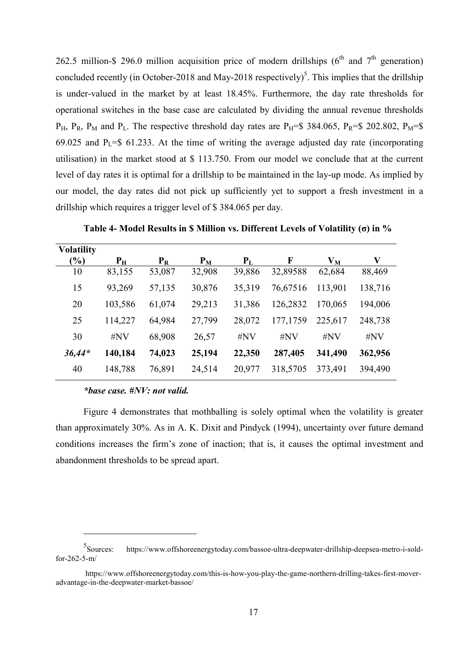262.5 million-\$ 296.0 million acquisition price of modern drillships ( $6<sup>th</sup>$  and  $7<sup>th</sup>$  generation) concluded recently (in October-2018 and May-2018 respectively)<sup>5</sup>. This implies that the drillship is under-valued in the market by at least 18.45%. Furthermore, the day rate thresholds for operational switches in the base case are calculated by dividing the annual revenue thresholds  $P_H$ ,  $P_R$ ,  $P_M$  and  $P_L$ . The respective threshold day rates are  $P_H=$ \$ 384.065,  $P_R=$ \$ 202.802,  $P_M=$ \$ 69.025 and  $P<sub>L</sub>=$ 61.233$ . At the time of writing the average adjusted day rate (incorporating utilisation) in the market stood at \$ 113.750. From our model we conclude that at the current level of day rates it is optimal for a drillship to be maintained in the lay-up mode. As implied by our model, the day rates did not pick up sufficiently yet to support a fresh investment in a drillship which requires a trigger level of \$ 384.065 per day.

| <b>Volatility</b> |             |        |        |        |          |         |         |
|-------------------|-------------|--------|--------|--------|----------|---------|---------|
| $\frac{9}{6}$     | $P_{\rm H}$ | $P_R$  | $P_M$  | $P_L$  | F        | $V_M$   | V       |
| 10                | 83,155      | 53,087 | 32,908 | 39,886 | 32,89588 | 62,684  | 88,469  |
| 15                | 93,269      | 57,135 | 30,876 | 35,319 | 76,67516 | 113,901 | 138,716 |
| 20                | 103,586     | 61,074 | 29,213 | 31,386 | 126,2832 | 170,065 | 194,006 |
| 25                | 114,227     | 64,984 | 27,799 | 28,072 | 177,1759 | 225,617 | 248,738 |
| 30                | $\#NV$      | 68,908 | 26,57  | $\#NV$ | #NV      | $\#NV$  | $\#NV$  |
| $36,44*$          | 140,184     | 74,023 | 25,194 | 22,350 | 287,405  | 341,490 | 362,956 |
| 40                | 148,788     | 76,891 | 24,514 | 20,977 | 318,5705 | 373,491 | 394,490 |

Table 4- Model Results in \$ Million vs. Different Levels of Volatility (σ) in %

# \*base case. #NV: not valid.

 $\overline{a}$ 

Figure 4 demonstrates that mothballing is solely optimal when the volatility is greater than approximately 30%. As in A. K. Dixit and Pindyck (1994), uncertainty over future demand conditions increases the firm's zone of inaction; that is, it causes the optimal investment and abandonment thresholds to be spread apart.

<sup>5</sup>Sources: https://www.offshoreenergytoday.com/bassoe-ultra-deepwater-drillship-deepsea-metro-i-soldfor-262-5-m/

https://www.offshoreenergytoday.com/this-is-how-you-play-the-game-northern-drilling-takes-first-moveradvantage-in-the-deepwater-market-bassoe/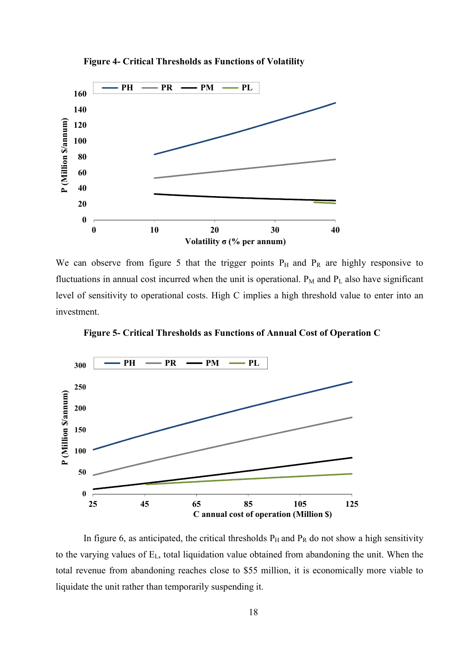

Figure 4- Critical Thresholds as Functions of Volatility

We can observe from figure 5 that the trigger points  $P_H$  and  $P_R$  are highly responsive to fluctuations in annual cost incurred when the unit is operational.  $P_M$  and  $P_L$  also have significant level of sensitivity to operational costs. High C implies a high threshold value to enter into an investment.

Figure 5- Critical Thresholds as Functions of Annual Cost of Operation C



In figure 6, as anticipated, the critical thresholds  $P_H$  and  $P_R$  do not show a high sensitivity to the varying values of EL, total liquidation value obtained from abandoning the unit. When the total revenue from abandoning reaches close to \$55 million, it is economically more viable to liquidate the unit rather than temporarily suspending it.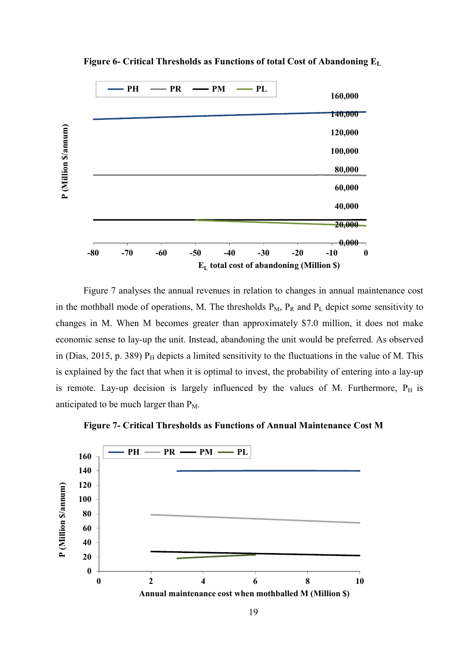

Figure 6- Critical Thresholds as Functions of total Cost of Abandoning E<sup>L</sup>

Figure 7 analyses the annual revenues in relation to changes in annual maintenance cost in the mothball mode of operations, M. The thresholds  $P_M$ ,  $P_R$  and  $P_L$  depict some sensitivity to changes in M. When M becomes greater than approximately \$7.0 million, it does not make economic sense to lay-up the unit. Instead, abandoning the unit would be preferred. As observed in (Dias, 2015, p. 389)  $P_H$  depicts a limited sensitivity to the fluctuations in the value of M. This is explained by the fact that when it is optimal to invest, the probability of entering into a lay-up is remote. Lay-up decision is largely influenced by the values of M. Furthermore,  $P_H$  is anticipated to be much larger than  $P_M$ .



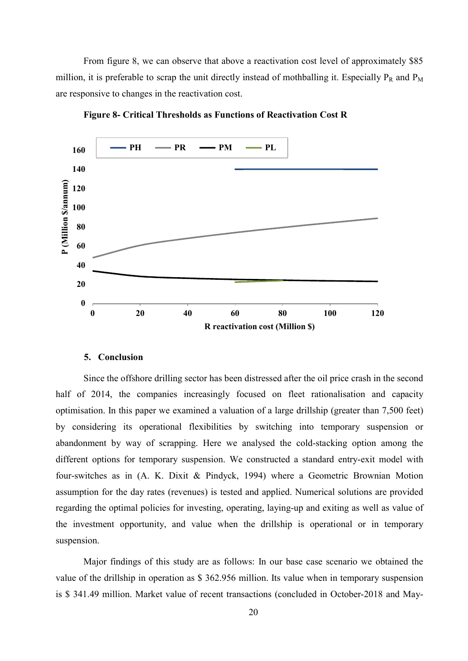From figure 8, we can observe that above a reactivation cost level of approximately \$85 million, it is preferable to scrap the unit directly instead of mothballing it. Especially  $P_R$  and  $P_M$ are responsive to changes in the reactivation cost.



Figure 8- Critical Thresholds as Functions of Reactivation Cost R

### 5. Conclusion

Since the offshore drilling sector has been distressed after the oil price crash in the second half of 2014, the companies increasingly focused on fleet rationalisation and capacity optimisation. In this paper we examined a valuation of a large drillship (greater than 7,500 feet) by considering its operational flexibilities by switching into temporary suspension or abandonment by way of scrapping. Here we analysed the cold-stacking option among the different options for temporary suspension. We constructed a standard entry-exit model with four-switches as in (A. K. Dixit & Pindyck, 1994) where a Geometric Brownian Motion assumption for the day rates (revenues) is tested and applied. Numerical solutions are provided regarding the optimal policies for investing, operating, laying-up and exiting as well as value of the investment opportunity, and value when the drillship is operational or in temporary suspension.

Major findings of this study are as follows: In our base case scenario we obtained the value of the drillship in operation as \$ 362.956 million. Its value when in temporary suspension is \$ 341.49 million. Market value of recent transactions (concluded in October-2018 and May-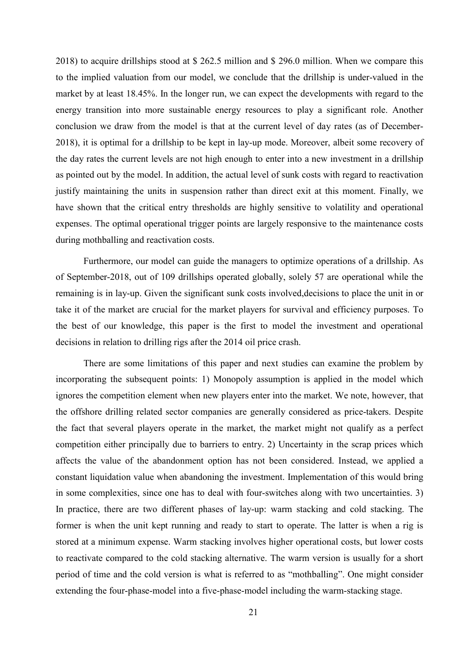2018) to acquire drillships stood at \$ 262.5 million and \$ 296.0 million. When we compare this to the implied valuation from our model, we conclude that the drillship is under-valued in the market by at least 18.45%. In the longer run, we can expect the developments with regard to the energy transition into more sustainable energy resources to play a significant role. Another conclusion we draw from the model is that at the current level of day rates (as of December-2018), it is optimal for a drillship to be kept in lay-up mode. Moreover, albeit some recovery of the day rates the current levels are not high enough to enter into a new investment in a drillship as pointed out by the model. In addition, the actual level of sunk costs with regard to reactivation justify maintaining the units in suspension rather than direct exit at this moment. Finally, we have shown that the critical entry thresholds are highly sensitive to volatility and operational expenses. The optimal operational trigger points are largely responsive to the maintenance costs during mothballing and reactivation costs.

Furthermore, our model can guide the managers to optimize operations of a drillship. As of September-2018, out of 109 drillships operated globally, solely 57 are operational while the remaining is in lay-up. Given the significant sunk costs involved,decisions to place the unit in or take it of the market are crucial for the market players for survival and efficiency purposes. To the best of our knowledge, this paper is the first to model the investment and operational decisions in relation to drilling rigs after the 2014 oil price crash.

There are some limitations of this paper and next studies can examine the problem by incorporating the subsequent points: 1) Monopoly assumption is applied in the model which ignores the competition element when new players enter into the market. We note, however, that the offshore drilling related sector companies are generally considered as price-takers. Despite the fact that several players operate in the market, the market might not qualify as a perfect competition either principally due to barriers to entry. 2) Uncertainty in the scrap prices which affects the value of the abandonment option has not been considered. Instead, we applied a constant liquidation value when abandoning the investment. Implementation of this would bring in some complexities, since one has to deal with four-switches along with two uncertainties. 3) In practice, there are two different phases of lay-up: warm stacking and cold stacking. The former is when the unit kept running and ready to start to operate. The latter is when a rig is stored at a minimum expense. Warm stacking involves higher operational costs, but lower costs to reactivate compared to the cold stacking alternative. The warm version is usually for a short period of time and the cold version is what is referred to as "mothballing". One might consider extending the four-phase-model into a five-phase-model including the warm-stacking stage.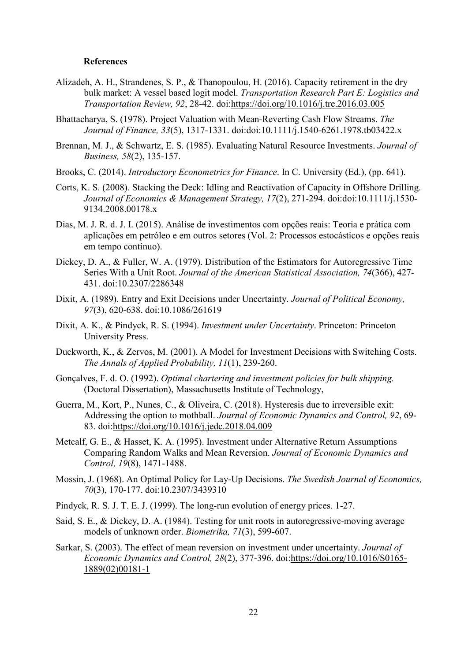#### References

- Alizadeh, A. H., Strandenes, S. P., & Thanopoulou, H. (2016). Capacity retirement in the dry bulk market: A vessel based logit model. Transportation Research Part E: Logistics and Transportation Review, 92, 28-42. doi:https://doi.org/10.1016/j.tre.2016.03.005
- Bhattacharya, S. (1978). Project Valuation with Mean-Reverting Cash Flow Streams. The Journal of Finance, 33(5), 1317-1331. doi:doi:10.1111/j.1540-6261.1978.tb03422.x
- Brennan, M. J., & Schwartz, E. S. (1985). Evaluating Natural Resource Investments. Journal of Business, 58(2), 135-157.
- Brooks, C. (2014). *Introductory Econometrics for Finance*. In C. University (Ed.), (pp. 641).
- Corts, K. S. (2008). Stacking the Deck: Idling and Reactivation of Capacity in Offshore Drilling. Journal of Economics & Management Strategy, 17(2), 271-294. doi:doi:10.1111/j.1530- 9134.2008.00178.x
- Dias, M. J. R. d. J. I. (2015). Análise de investimentos com opções reais: Teoria e prática com aplicações em petróleo e em outros setores (Vol. 2: Processos estocásticos e opções reais em tempo contínuo).
- Dickey, D. A., & Fuller, W. A. (1979). Distribution of the Estimators for Autoregressive Time Series With a Unit Root. Journal of the American Statistical Association, 74(366), 427- 431. doi:10.2307/2286348
- Dixit, A. (1989). Entry and Exit Decisions under Uncertainty. Journal of Political Economy, 97(3), 620-638. doi:10.1086/261619
- Dixit, A. K., & Pindyck, R. S. (1994). Investment under Uncertainty. Princeton: Princeton University Press.
- Duckworth, K., & Zervos, M. (2001). A Model for Investment Decisions with Switching Costs. The Annals of Applied Probability, 11(1), 239-260.
- Gonçalves, F. d. O. (1992). Optimal chartering and investment policies for bulk shipping. (Doctoral Dissertation), Massachusetts Institute of Technology,
- Guerra, M., Kort, P., Nunes, C., & Oliveira, C. (2018). Hysteresis due to irreversible exit: Addressing the option to mothball. Journal of Economic Dynamics and Control, 92, 69- 83. doi:https://doi.org/10.1016/j.jedc.2018.04.009
- Metcalf, G. E., & Hasset, K. A. (1995). Investment under Alternative Return Assumptions Comparing Random Walks and Mean Reversion. Journal of Economic Dynamics and Control, 19(8), 1471-1488.
- Mossin, J. (1968). An Optimal Policy for Lay-Up Decisions. The Swedish Journal of Economics, 70(3), 170-177. doi:10.2307/3439310
- Pindyck, R. S. J. T. E. J. (1999). The long-run evolution of energy prices. 1-27.
- Said, S. E., & Dickey, D. A. (1984). Testing for unit roots in autoregressive-moving average models of unknown order. Biometrika, 71(3), 599-607.
- Sarkar, S. (2003). The effect of mean reversion on investment under uncertainty. Journal of Economic Dynamics and Control, 28(2), 377-396. doi:https://doi.org/10.1016/S0165- 1889(02)00181-1